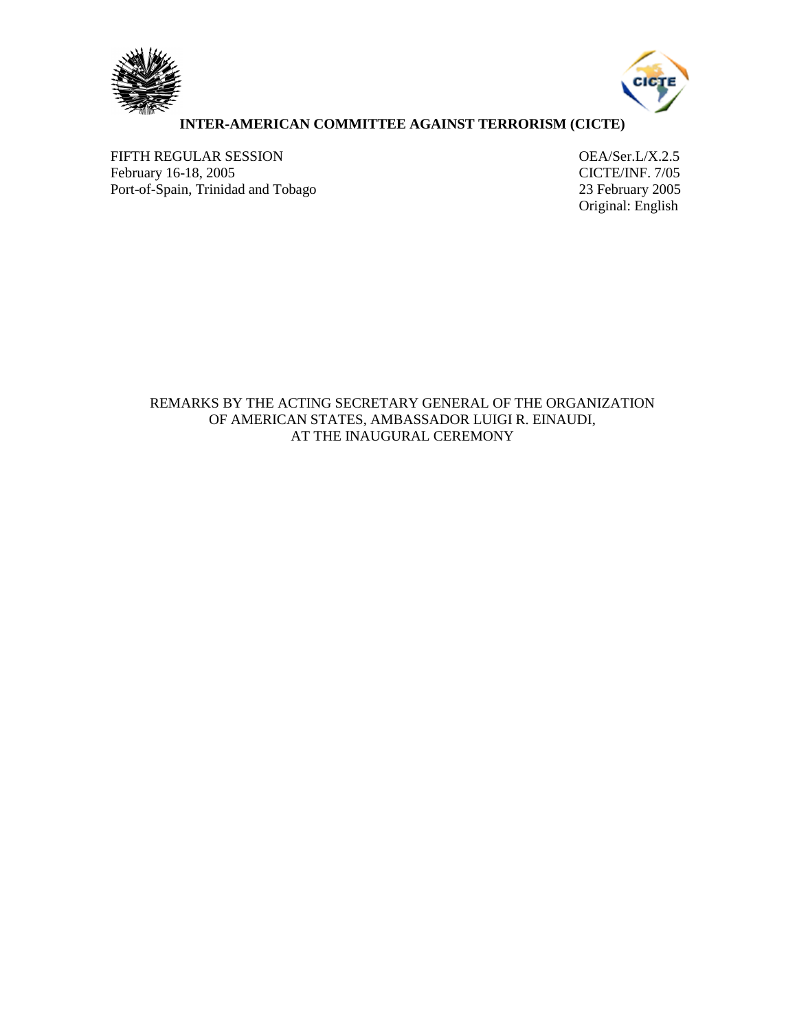



## **INTER-AMERICAN COMMITTEE AGAINST TERRORISM (CICTE)**

FIFTH REGULAR SESSION<br>
February 16-18, 2005<br>
CICTE/INF. 7/05 February 16-18, 2005<br>
Port-of-Spain, Trinidad and Tobago<br>
23 February 2005 Port-of-Spain, Trinidad and Tobago

Original: English

REMARKS BY THE ACTING SECRETARY GENERAL OF THE ORGANIZATION OF AMERICAN STATES, AMBASSADOR LUIGI R. EINAUDI, AT THE INAUGURAL CEREMONY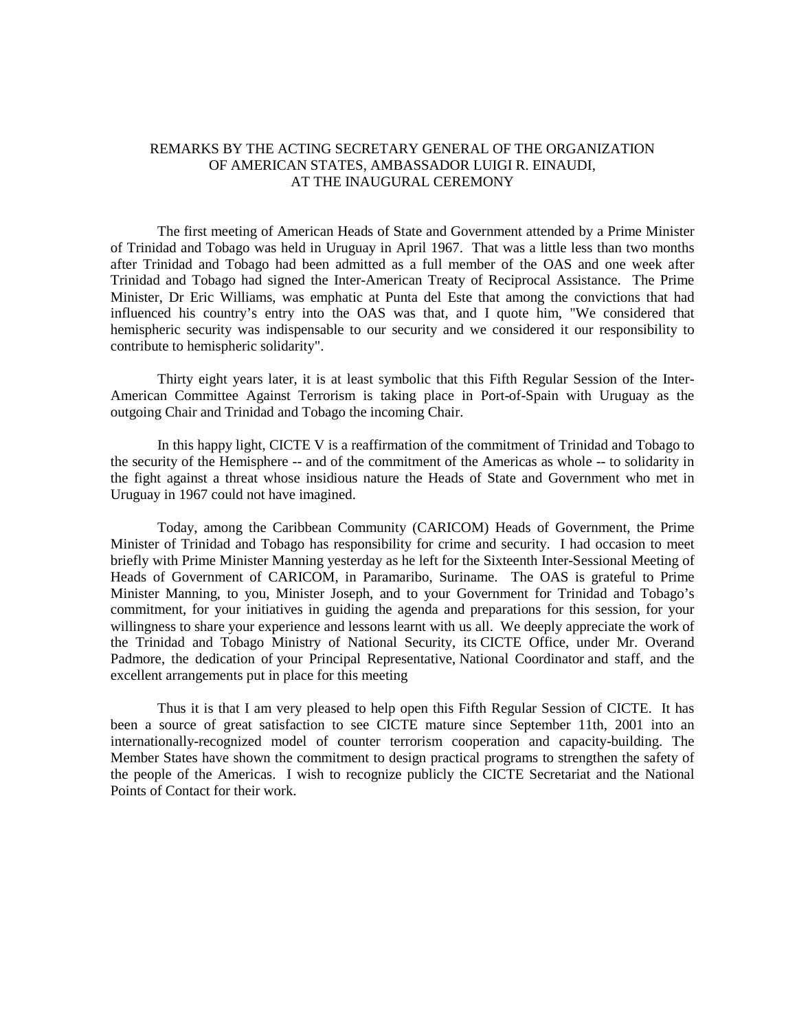## REMARKS BY THE ACTING SECRETARY GENERAL OF THE ORGANIZATION OF AMERICAN STATES, AMBASSADOR LUIGI R. EINAUDI, AT THE INAUGURAL CEREMONY

The first meeting of American Heads of State and Government attended by a Prime Minister of Trinidad and Tobago was held in Uruguay in April 1967. That was a little less than two months after Trinidad and Tobago had been admitted as a full member of the OAS and one week after Trinidad and Tobago had signed the Inter-American Treaty of Reciprocal Assistance. The Prime Minister, Dr Eric Williams, was emphatic at Punta del Este that among the convictions that had influenced his country's entry into the OAS was that, and I quote him, "We considered that hemispheric security was indispensable to our security and we considered it our responsibility to contribute to hemispheric solidarity".

Thirty eight years later, it is at least symbolic that this Fifth Regular Session of the Inter-American Committee Against Terrorism is taking place in Port-of-Spain with Uruguay as the outgoing Chair and Trinidad and Tobago the incoming Chair.

In this happy light, CICTE V is a reaffirmation of the commitment of Trinidad and Tobago to the security of the Hemisphere -- and of the commitment of the Americas as whole -- to solidarity in the fight against a threat whose insidious nature the Heads of State and Government who met in Uruguay in 1967 could not have imagined.

Today, among the Caribbean Community (CARICOM) Heads of Government, the Prime Minister of Trinidad and Tobago has responsibility for crime and security. I had occasion to meet briefly with Prime Minister Manning yesterday as he left for the Sixteenth Inter-Sessional Meeting of Heads of Government of CARICOM, in Paramaribo, Suriname. The OAS is grateful to Prime Minister Manning, to you, Minister Joseph, and to your Government for Trinidad and Tobago's commitment, for your initiatives in guiding the agenda and preparations for this session, for your willingness to share your experience and lessons learnt with us all. We deeply appreciate the work of the Trinidad and Tobago Ministry of National Security, its CICTE Office, under Mr. Overand Padmore, the dedication of your Principal Representative, National Coordinator and staff, and the excellent arrangements put in place for this meeting

Thus it is that I am very pleased to help open this Fifth Regular Session of CICTE. It has been a source of great satisfaction to see CICTE mature since September 11th, 2001 into an internationally-recognized model of counter terrorism cooperation and capacity-building. The Member States have shown the commitment to design practical programs to strengthen the safety of the people of the Americas. I wish to recognize publicly the CICTE Secretariat and the National Points of Contact for their work.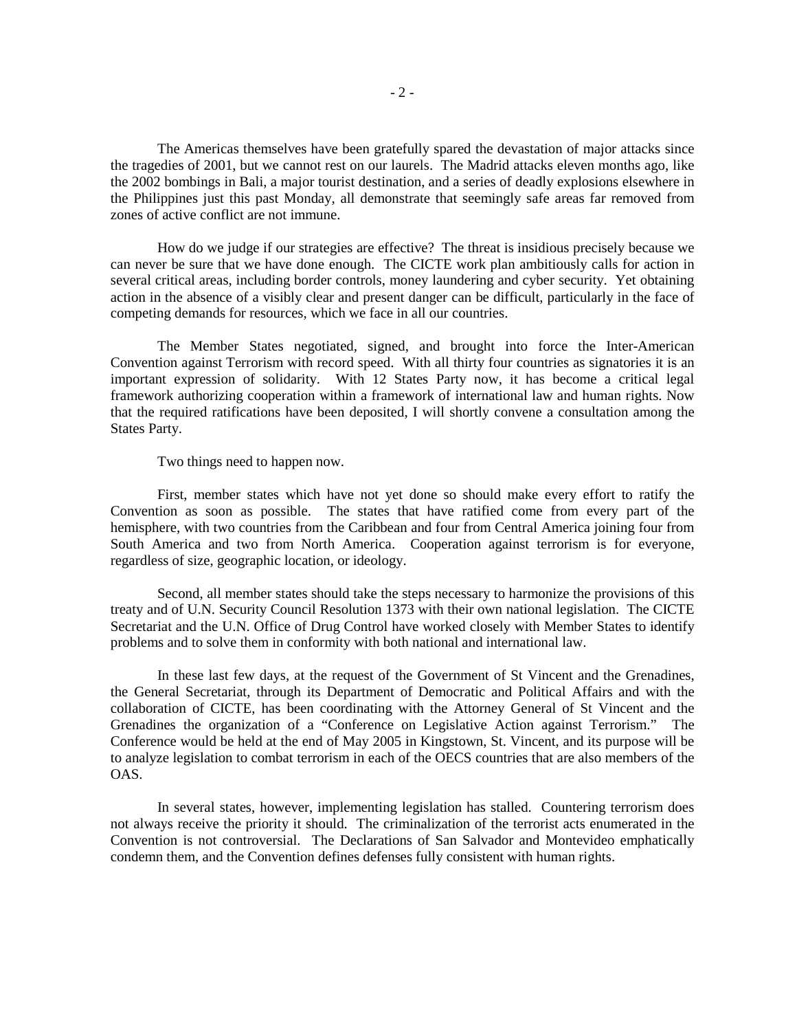The Americas themselves have been gratefully spared the devastation of major attacks since the tragedies of 2001, but we cannot rest on our laurels. The Madrid attacks eleven months ago, like the 2002 bombings in Bali, a major tourist destination, and a series of deadly explosions elsewhere in the Philippines just this past Monday, all demonstrate that seemingly safe areas far removed from zones of active conflict are not immune.

How do we judge if our strategies are effective? The threat is insidious precisely because we can never be sure that we have done enough. The CICTE work plan ambitiously calls for action in several critical areas, including border controls, money laundering and cyber security. Yet obtaining action in the absence of a visibly clear and present danger can be difficult, particularly in the face of competing demands for resources, which we face in all our countries.

The Member States negotiated, signed, and brought into force the Inter-American Convention against Terrorism with record speed. With all thirty four countries as signatories it is an important expression of solidarity. With 12 States Party now, it has become a critical legal framework authorizing cooperation within a framework of international law and human rights. Now that the required ratifications have been deposited, I will shortly convene a consultation among the States Party.

Two things need to happen now.

First, member states which have not yet done so should make every effort to ratify the Convention as soon as possible. The states that have ratified come from every part of the hemisphere, with two countries from the Caribbean and four from Central America joining four from South America and two from North America. Cooperation against terrorism is for everyone, regardless of size, geographic location, or ideology.

Second, all member states should take the steps necessary to harmonize the provisions of this treaty and of U.N. Security Council Resolution 1373 with their own national legislation. The CICTE Secretariat and the U.N. Office of Drug Control have worked closely with Member States to identify problems and to solve them in conformity with both national and international law.

In these last few days, at the request of the Government of St Vincent and the Grenadines, the General Secretariat, through its Department of Democratic and Political Affairs and with the collaboration of CICTE, has been coordinating with the Attorney General of St Vincent and the Grenadines the organization of a "Conference on Legislative Action against Terrorism." The Conference would be held at the end of May 2005 in Kingstown, St. Vincent, and its purpose will be to analyze legislation to combat terrorism in each of the OECS countries that are also members of the OAS.

In several states, however, implementing legislation has stalled. Countering terrorism does not always receive the priority it should. The criminalization of the terrorist acts enumerated in the Convention is not controversial. The Declarations of San Salvador and Montevideo emphatically condemn them, and the Convention defines defenses fully consistent with human rights.